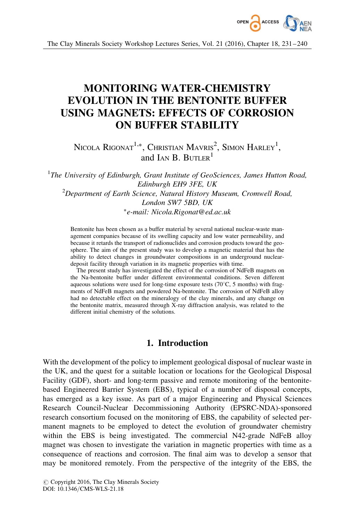

The Clay Minerals Society Workshop Lectures Series, Vol. 21 (2016), Chapter 18, 231– 240

# MONITORING WATER-CHEMISTRY EVOLUTION IN THE BENTONITE BUFFER USING MAGNETS: EFFECTS OF CORROSION ON BUFFER STABILITY

Nicola Rigonat $^{1,\ast}$ , Christian Mavris $^2$ , Simon Harley $^1,$ and  $I_{AN}$  B. BUTLER<sup>1</sup>

 $1$ The University of Edinburgh, Grant Institute of GeoSciences, James Hutton Road, Edinburgh EH9 3FE, UK  $2$ Department of Earth Science, Natural History Museum, Cromwell Road, London SW7 5BD, UK -e-mail: Nicola.Rigonat@ed.ac.uk

Bentonite has been chosen as a buffer material by several national nuclear-waste management companies because of its swelling capacity and low water permeability, and because it retards the transport of radionuclides and corrosion products toward the geosphere. The aim of the present study was to develop a magnetic material that has the ability to detect changes in groundwater compositions in an underground nucleardeposit facility through variation in its magnetic properties with time.

The present study has investigated the effect of the corrosion of NdFeB magnets on the Na-bentonite buffer under different environmental conditions. Seven different aqueous solutions were used for long-time exposure tests  $(70^{\circ}C, 5 \text{ months})$  with fragments of NdFeB magnets and powdered Na-bentonite. The corrosion of NdFeB alloy had no detectable effect on the mineralogy of the clay minerals, and any change on the bentonite matrix, measured through X-ray diffraction analysis, was related to the different initial chemistry of the solutions.

## 1. Introduction

With the development of the policy to implement geological disposal of nuclear waste in the UK, and the quest for a suitable location or locations for the Geological Disposal Facility (GDF), short- and long-term passive and remote monitoring of the bentonitebased Engineered Barrier System (EBS), typical of a number of disposal concepts, has emerged as a key issue. As part of a major Engineering and Physical Sciences Research Council-Nuclear Decommissioning Authority (EPSRC-NDA)-sponsored research consortium focused on the monitoring of EBS, the capability of selected permanent magnets to be employed to detect the evolution of groundwater chemistry within the EBS is being investigated. The commercial N42-grade NdFeB alloy magnet was chosen to investigate the variation in magnetic properties with time as a consequence of reactions and corrosion. The final aim was to develop a sensor that may be monitored remotely. From the perspective of the integrity of the EBS, the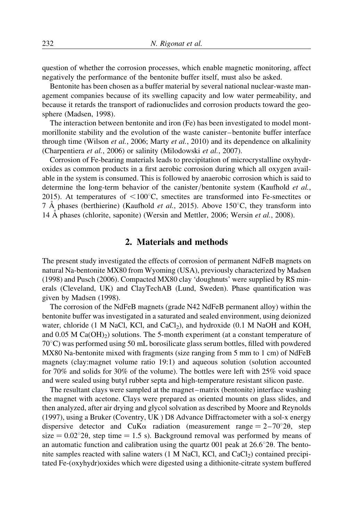question of whether the corrosion processes, which enable magnetic monitoring, affect negatively the performance of the bentonite buffer itself, must also be asked.

Bentonite has been chosen as a buffer material by several national nuclear-waste management companies because of its swelling capacity and low water permeability, and because it retards the transport of radionuclides and corrosion products toward the geosphere (Madsen, 1998).

The interaction between bentonite and iron (Fe) has been investigated to model montmorillonite stability and the evolution of the waste canister – bentonite buffer interface through time (Wilson *et al.*, 2006; Marty *et al.*, 2010) and its dependence on alkalinity (Charpentiera et al., 2006) or salinity (Milodowski et al., 2007).

Corrosion of Fe-bearing materials leads to precipitation of microcrystalline oxyhydroxides as common products in a first aerobic corrosion during which all oxygen available in the system is consumed. This is followed by anaerobic corrosion which is said to determine the long-term behavior of the canister/bentonite system (Kaufhold *et al.*, 2015). At temperatures of  $\leq 100^{\circ}$ C, smectites are transformed into Fe-smectites or 7 A phases (berthierine) (Kaufhold *et al.*, 2015). Above 150 $\degree$ C, they transform into 14 A phases (chlorite, saponite) (Wersin and Mettler, 2006; Wersin *et al.*, 2008).

### 2. Materials and methods

The present study investigated the effects of corrosion of permanent NdFeB magnets on natural Na-bentonite MX80 from Wyoming (USA), previously characterized by Madsen (1998) and Pusch (2006). Compacted MX80 clay 'doughnuts' were supplied by RS minerals (Cleveland, UK) and ClayTechAB (Lund, Sweden). Phase quantification was given by Madsen (1998).

The corrosion of the NdFeB magnets (grade N42 NdFeB permanent alloy) within the bentonite buffer was investigated in a saturated and sealed environment, using deionized water, chloride (1 M NaCl, KCl, and CaCl<sub>2</sub>), and hydroxide (0.1 M NaOH and KOH, and  $0.05$  M Ca(OH)<sub>2</sub>) solutions. The 5-month experiment (at a constant temperature of  $70^{\circ}$ C) was performed using 50 mL borosilicate glass serum bottles, filled with powdered MX80 Na-bentonite mixed with fragments (size ranging from 5 mm to 1 cm) of NdFeB magnets (clay:magnet volume ratio 19:1) and aqueous solution (solution accounted for 70% and solids for 30% of the volume). The bottles were left with 25% void space and were sealed using butyl rubber septa and high-temperature resistant silicon paste.

The resultant clays were sampled at the magnet –matrix (bentonite) interface washing the magnet with acetone. Clays were prepared as oriented mounts on glass slides, and then analyzed, after air drying and glycol solvation as described by Moore and Reynolds (1997), using a Bruker (Coventry, UK ) D8 Advance Diffractometer with a sol-x energy dispersive detector and CuK $\alpha$  radiation (measurement range = 2-70°20, step  $size = 0.02^{\circ}20$ , step time = 1.5 s). Background removal was performed by means of an automatic function and calibration using the quartz 001 peak at  $26.6^{\circ}20$ . The bentonite samples reacted with saline waters  $(1 M NaCl, KCl, and CaCl<sub>2</sub>)$  contained precipitated Fe-(oxyhydr)oxides which were digested using a dithionite-citrate system buffered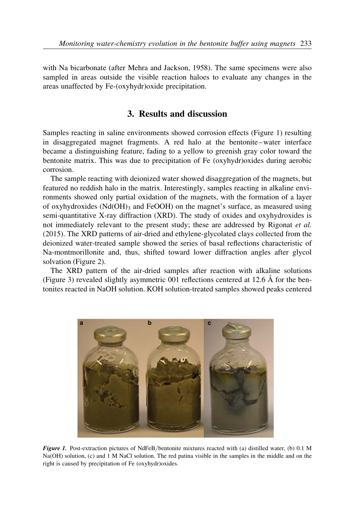with Na bicarbonate (after Mehra and Jackson, 1958). The same specimens were also sampled in areas outside the visible reaction haloes to evaluate any changes in the areas unaffected by Fe-(oxyhydr)oxide precipitation.

# 3. Results and discussion

Samples reacting in saline environments showed corrosion effects (Figure 1) resulting in disaggregated magnet fragments. A red halo at the bentonite –water interface became a distinguishing feature, fading to a yellow to greenish gray color toward the bentonite matrix. This was due to precipitation of Fe (oxyhydr)oxides during aerobic corrosion.

The sample reacting with deionized water showed disaggregation of the magnets, but featured no reddish halo in the matrix. Interestingly, samples reacting in alkaline environments showed only partial oxidation of the magnets, with the formation of a layer of oxyhydroxides  $(Nd(OH)_{3}$  and FeOOH) on the magnet's surface, as measured using semi-quantitative X-ray diffraction (XRD). The study of oxides and oxyhydroxides is not immediately relevant to the present study; these are addressed by Rigonat et al. (2015). The XRD patterns of air-dried and ethylene-glycolated clays collected from the deionized water-treated sample showed the series of basal reflections characteristic of Na-montmorillonite and, thus, shifted toward lower diffraction angles after glycol solvation (Figure 2).

The XRD pattern of the air-dried samples after reaction with alkaline solutions (Figure 3) revealed slightly asymmetric 001 reflections centered at 12.6 A˚ for the bentonites reacted in NaOH solution. KOH solution-treated samples showed peaks centered



Figure 1. Post-extraction pictures of NdFeB/bentonite mixtures reacted with (a) distilled water, (b) 0.1 M Na(OH) solution, (c) and 1 M NaCl solution. The red patina visible in the samples in the middle and on the right is caused by precipitation of Fe (oxyhydr)oxides.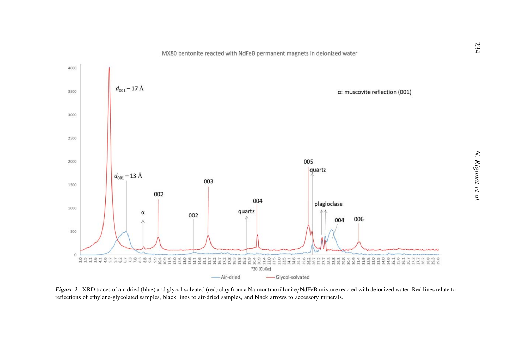

Figure 2. XRD traces of air-dried (blue) and glycol-solvated (red) clay from a Na-montmorillonite/NdFeB mixture reacted with deionized water. Red lines relate to reflections of ethylene-glycolated samples, black lines to air-dried samples, and black arrows to accessory minerals.



234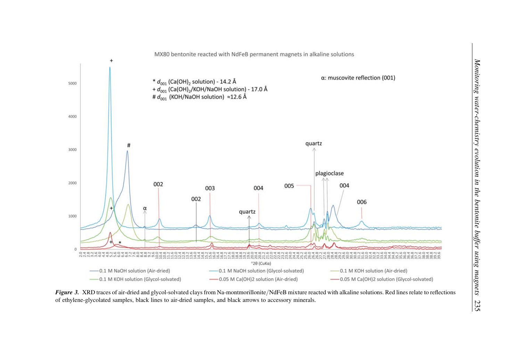

Figure 3. XRD traces of air-dried and glycol-solvated clays from Na-montmorillonite/NdFeB mixture reacted with alkaline solutions. Red lines relate to reflections of ethylene-glycolated samples, black lines to air-dried samples, and black arrows to accessory minerals.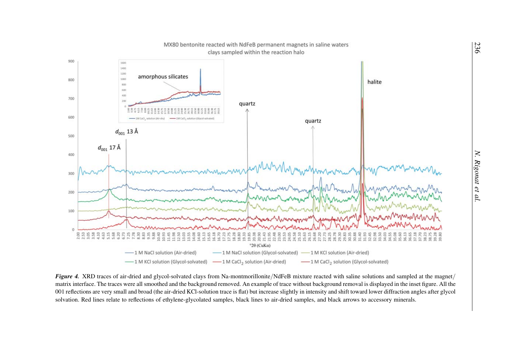

Figure 4. XRD traces of air-dried and glycol-solvated clays from Na-montmorillonite/NdFeB mixture reacted with saline solutions and sampled at the magnet/ matrix interface. The traces were all smoothed and the background removed. An example of trace without background removal is displayed in the inset figure. All the 001 reflections are very small and broad (the air-dried KCl-solution trace is flat) but increase slightly in intensity and shift toward lower diffraction angles after glycol solvation. Red lines relate to reflections of ethylene-glycolated samples, black lines to air-dried samples, and black arrows to accessory minerals.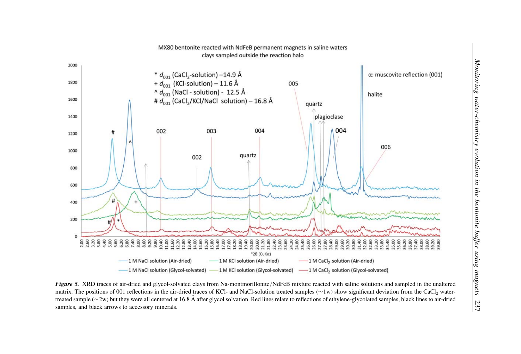

Figure 5. XRD traces of air-dried and glycol-solvated clays from Na-montmorillonite/NdFeB mixture reacted with saline solutions and sampled in the unaltered matrix. The positions of 001 reflections in the air-dried traces of KCl- and NaCl-solution treated samples  $(\sim 1w)$  show significant deviation from the CaCl<sub>2</sub> watertreated sample ( $\sim$ 2w) but they were all centered at 16.8 Å after glycol solvation. Red lines relate to reflections of ethylene-glycolated samples, black lines to air-dried samples, and black arrows to accessory minerals.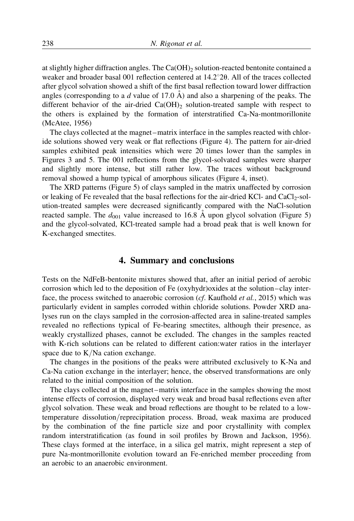at slightly higher diffraction angles. The  $Ca(OH)_{2}$  solution-reacted bentonite contained a weaker and broader basal 001 reflection centered at  $14.2^{\circ}20$ . All of the traces collected after glycol solvation showed a shift of the first basal reflection toward lower diffraction angles (corresponding to a d value of 17.0  $\AA$ ) and also a sharpening of the peaks. The different behavior of the air-dried  $Ca(OH)_2$  solution-treated sample with respect to the others is explained by the formation of interstratified Ca-Na-montmorillonite (McAtee, 1956)

The clays collected at the magnet –matrix interface in the samples reacted with chloride solutions showed very weak or flat reflections (Figure 4). The pattern for air-dried samples exhibited peak intensities which were 20 times lower than the samples in Figures 3 and 5. The 001 reflections from the glycol-solvated samples were sharper and slightly more intense, but still rather low. The traces without background removal showed a hump typical of amorphous silicates (Figure 4, inset).

The XRD patterns (Figure 5) of clays sampled in the matrix unaffected by corrosion or leaking of Fe revealed that the basal reflections for the air-dried KCl- and  $CaCl<sub>2</sub>-sol$ ution-treated samples were decreased significantly compared with the NaCl-solution reacted sample. The  $d_{001}$  value increased to 16.8 Å upon glycol solvation (Figure 5) and the glycol-solvated, KCl-treated sample had a broad peak that is well known for K-exchanged smectites.

#### 4. Summary and conclusions

Tests on the NdFeB-bentonite mixtures showed that, after an initial period of aerobic corrosion which led to the deposition of Fe (oxyhydr)oxides at the solution –clay interface, the process switched to anaerobic corrosion (cf. Kaufhold et al., 2015) which was particularly evident in samples corroded within chloride solutions. Powder XRD analyses run on the clays sampled in the corrosion-affected area in saline-treated samples revealed no reflections typical of Fe-bearing smectites, although their presence, as weakly crystallized phases, cannot be excluded. The changes in the samples reacted with K-rich solutions can be related to different cation:water ratios in the interlayer space due to K/Na cation exchange.

The changes in the positions of the peaks were attributed exclusively to K-Na and Ca-Na cation exchange in the interlayer; hence, the observed transformations are only related to the initial composition of the solution.

The clays collected at the magnet –matrix interface in the samples showing the most intense effects of corrosion, displayed very weak and broad basal reflections even after glycol solvation. These weak and broad reflections are thought to be related to a lowtemperature dissolution/reprecipitation process. Broad, weak maxima are produced by the combination of the fine particle size and poor crystallinity with complex random interstratification (as found in soil profiles by Brown and Jackson, 1956). These clays formed at the interface, in a silica gel matrix, might represent a step of pure Na-montmorillonite evolution toward an Fe-enriched member proceeding from an aerobic to an anaerobic environment.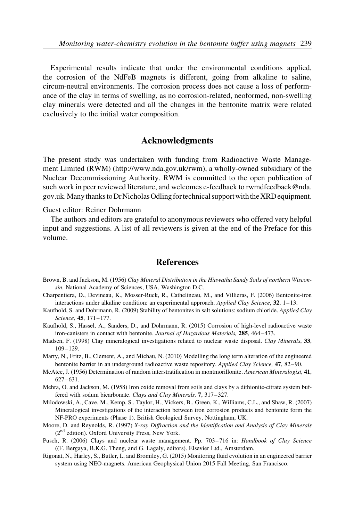Experimental results indicate that under the environmental conditions applied, the corrosion of the NdFeB magnets is different, going from alkaline to saline, circum-neutral environments. The corrosion process does not cause a loss of performance of the clay in terms of swelling, as no corrosion-related, neoformed, non-swelling clay minerals were detected and all the changes in the bentonite matrix were related exclusively to the initial water composition.

## Acknowledgments

The present study was undertaken with funding from Radioactive Waste Management Limited (RWM) (http://www.nda.gov.uk/rwm), a wholly-owned subsidiary of the Nuclear Decommissioning Authority. RWM is committed to the open publication of such work in peer reviewed literature, and welcomes e-feedback to rwmdfeedback@nda. gov.uk.Manythanksto DrNicholas Odling fortechnical supportwiththe XRD equipment.

Guest editor: Reiner Dohrmann

The authors and editors are grateful to anonymous reviewers who offered very helpful input and suggestions. A list of all reviewers is given at the end of the Preface for this volume.

#### **References**

- Brown, B. and Jackson, M. (1956) Clay Mineral Distribution in the Hiawatha Sandy Soils of northern Wisconsin. National Academy of Sciences, USA, Washington D.C.
- Charpentiera, D., Devineau, K., Mosser-Ruck, R., Cathelineau, M., and Villieras, F. (2006) Bentonite-iron interactions under alkaline condition: an experimental approach. Applied Clay Science,  $32$ ,  $1-13$ .
- Kaufhold, S. and Dohrmann, R. (2009) Stability of bentonites in salt solutions: sodium chloride. Applied Clay Science, 45, 171-177.
- Kaufhold, S., Hassel, A., Sanders, D., and Dohrmann, R. (2015) Corrosion of high-level radioactive waste iron-canisters in contact with bentonite. Journal of Hazardous Materials, 285, 464–473.
- Madsen, F. (1998) Clay mineralogical investigations related to nuclear waste disposal. Clay Minerals, 33, 109– 129.
- Marty, N., Fritz, B., Clement, A., and Michau, N. (2010) Modelling the long term alteration of the engineered bentonite barrier in an underground radioactive waste repository. Applied Clay Science, 47, 82–90.
- McAtee, J. (1956) Determination of random interstratification in montmorillonite. American Mineralogist, 41,  $627 - 631.$
- Mehra, O. and Jackson, M. (1958) Iron oxide removal from soils and clays by a dithionite-citrate system buffered with sodum bicarbonate. Clays and Clay Minerals, 7, 317-327.
- Milodowski, A., Cave, M., Kemp, S., Taylor, H., Vickers, B., Green, K., Williams, C.L., and Shaw, R. (2007) Mineralogical investigations of the interaction between iron corrosion products and bentonite form the NF-PRO experiments (Phase 1). British Geological Survey, Nottingham, UK.
- Moore, D. and Reynolds, R. (1997) X-ray Diffraction and the Identification and Analysis of Clay Minerals (2nd edition). Oxford University Press, New York.
- Pusch, R. (2006) Clays and nuclear waste management. Pp. 703-716 in: Handbook of Clay Science ((F. Bergaya, B.K.G. Theng, and G. Lagaly, editors). Elsevier Ltd., Amsterdam.
- Rigonat, N., Harley, S., Butler, I., and Bromiley, G. (2015) Monitoring fluid evolution in an engineered barrier system using NEO-magnets. American Geophysical Union 2015 Fall Meeting, San Francisco.